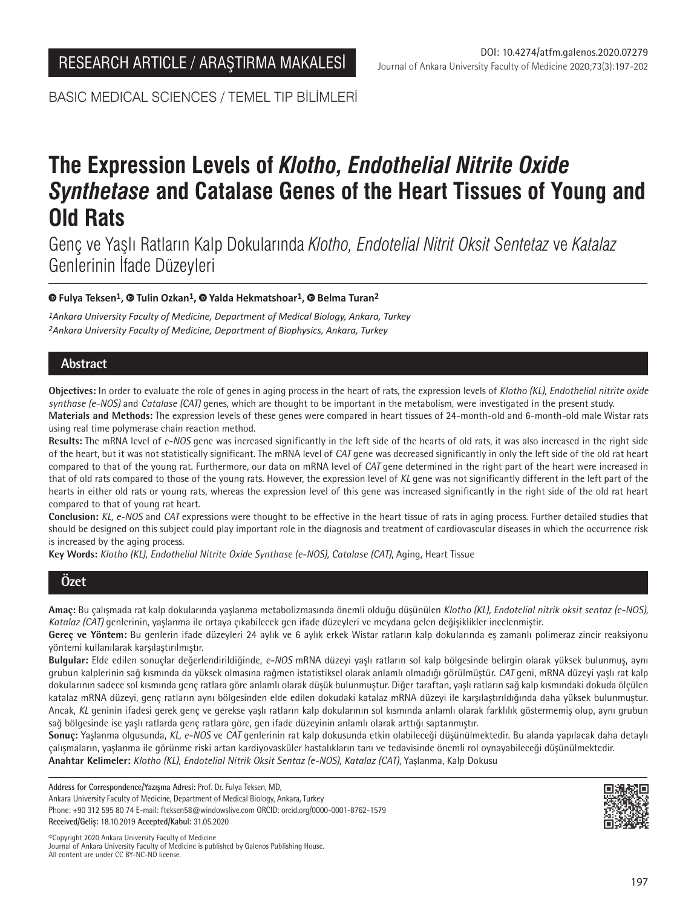BASIC MEDICAL SCIENCES / TEMEL TIP BİLİMLERİ

# **The Expression Levels of** *Klotho, Endothelial Nitrite Oxide Synthetase* **and Catalase Genes of the Heart Tissues of Young and Old Rats**

Genç ve Yaşlı Ratların Kalp Dokularında *Klotho, Endotelial Nitrit Oksit Sentetaz* ve *Katalaz*  Genlerinin İfade Düzeyleri

## **Fulya Teksen1, Tulin Ozkan1,Yalda Hekmatshoar1, Belma Turan2**

*1Ankara University Faculty of Medicine, Department of Medical Biology, Ankara, Turkey 2Ankara University Faculty of Medicine, Department of Biophysics, Ankara, Turkey*

# **Abstract**

**Objectives:** In order to evaluate the role of genes in aging process in the heart of rats, the expression levels of *Klotho (KL), Endothelial nitrite oxide synthase (e-NOS)* and *Catalase (CAT)* genes, which are thought to be important in the metabolism, were investigated in the present study.

**Materials and Methods:** The expression levels of these genes were compared in heart tissues of 24-month-old and 6-month-old male Wistar rats using real time polymerase chain reaction method.

**Results:** The mRNA level of *e-NOS* gene was increased significantly in the left side of the hearts of old rats, it was also increased in the right side of the heart, but it was not statistically significant. The mRNA level of *CAT* gene was decreased significantly in only the left side of the old rat heart compared to that of the young rat. Furthermore, our data on mRNA level of *CAT* gene determined in the right part of the heart were increased in that of old rats compared to those of the young rats. However, the expression level of *KL* gene was not significantly different in the left part of the hearts in either old rats or young rats, whereas the expression level of this gene was increased significantly in the right side of the old rat heart compared to that of young rat heart.

**Conclusion:** *KL, e-NOS* and *CAT* expressions were thought to be effective in the heart tissue of rats in aging process. Further detailed studies that should be designed on this subject could play important role in the diagnosis and treatment of cardiovascular diseases in which the occurrence risk is increased by the aging process.

**Key Words:** *Klotho (KL), Endothelial Nitrite Oxide Synthase (e-NOS), Catalase (CAT)*, Aging, Heart Tissue

# **Özet**

**Amaç:** Bu çalışmada rat kalp dokularında yaşlanma metabolizmasında önemli olduğu düşünülen *Klotho (KL), Endotelial nitrik oksit sentaz (e-NOS), Katalaz (CAT)* genlerinin, yaşlanma ile ortaya çıkabilecek gen ifade düzeyleri ve meydana gelen değişiklikler incelenmiştir.

**Gereç ve Yöntem:** Bu genlerin ifade düzeyleri 24 aylık ve 6 aylık erkek Wistar ratların kalp dokularında eş zamanlı polimeraz zincir reaksiyonu yöntemi kullanılarak karşılaştırılmıştır.

**Bulgular:** Elde edilen sonuçlar değerlendirildiğinde, *e-NOS* mRNA düzeyi yaşlı ratların sol kalp bölgesinde belirgin olarak yüksek bulunmuş, aynı grubun kalplerinin sağ kısmında da yüksek olmasına rağmen istatistiksel olarak anlamlı olmadığı görülmüştür. *CAT* geni, mRNA düzeyi yaşlı rat kalp dokularının sadece sol kısmında genç ratlara göre anlamlı olarak düşük bulunmuştur. Diğer taraftan, yaşlı ratların sağ kalp kısmındaki dokuda ölçülen katalaz mRNA düzeyi, genç ratların aynı bölgesinden elde edilen dokudaki katalaz mRNA düzeyi ile karşılaştırıldığında daha yüksek bulunmuştur. Ancak, *KL* geninin ifadesi gerek genç ve gerekse yaşlı ratların kalp dokularının sol kısmında anlamlı olarak farklılık göstermemiş olup, aynı grubun sağ bölgesinde ise yaşlı ratlarda genç ratlara göre, gen ifade düzeyinin anlamlı olarak arttığı saptanmıştır.

**Sonuç:** Yaşlanma olgusunda, *KL, e-NOS* ve *CAT* genlerinin rat kalp dokusunda etkin olabileceği düşünülmektedir. Bu alanda yapılacak daha detaylı çalışmaların, yaşlanma ile görünme riski artan kardiyovasküler hastalıkların tanı ve tedavisinde önemli rol oynayabileceği düşünülmektedir. **Anahtar Kelimeler:** *Klotho (KL), Endotelial Nitrik Oksit Sentaz (e-NOS), Katalaz (CAT)*, Yaşlanma, Kalp Dokusu

**Address for Correspondence/Yazışma Adresi:** Prof. Dr. Fulya Teksen, MD, Ankara University Faculty of Medicine, Department of Medical Biology, Ankara, Turkey Phone: +90 312 595 80 74 E-mail: fteksen58@windowslive.com ORCID: orcid.org/0000-0001-8762-1579 **Received/Geliş:** 18.10.2019 **Accepted/Kabul:** 31.05.2020



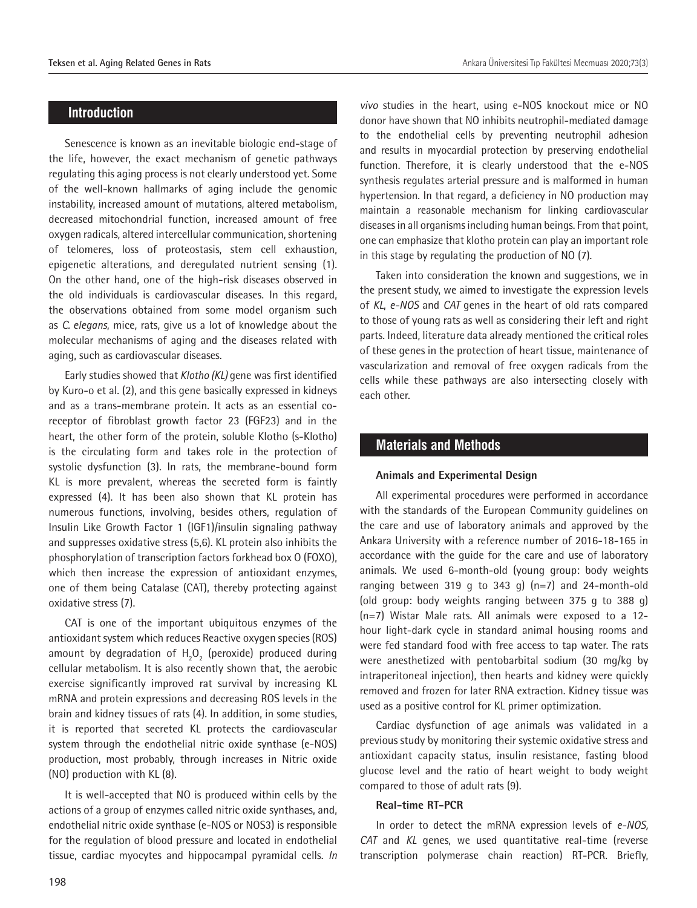## **Introduction**

Senescence is known as an inevitable biologic end-stage of the life, however, the exact mechanism of genetic pathways regulating this aging process is not clearly understood yet. Some of the well-known hallmarks of aging include the genomic instability, increased amount of mutations, altered metabolism, decreased mitochondrial function, increased amount of free oxygen radicals, altered intercellular communication, shortening of telomeres, loss of proteostasis, stem cell exhaustion, epigenetic alterations, and deregulated nutrient sensing (1). On the other hand, one of the high-risk diseases observed in the old individuals is cardiovascular diseases. In this regard, the observations obtained from some model organism such as *C. elegans*, mice, rats, give us a lot of knowledge about the molecular mechanisms of aging and the diseases related with aging, such as cardiovascular diseases.

Early studies showed that *Klotho (KL)* gene was first identified by Kuro-o et al. (2), and this gene basically expressed in kidneys and as a trans-membrane protein. It acts as an essential coreceptor of fibroblast growth factor 23 (FGF23) and in the heart, the other form of the protein, soluble Klotho (s-Klotho) is the circulating form and takes role in the protection of systolic dysfunction (3). In rats, the membrane-bound form KL is more prevalent, whereas the secreted form is faintly expressed (4). It has been also shown that KL protein has numerous functions, involving, besides others, regulation of Insulin Like Growth Factor 1 (IGF1)/insulin signaling pathway and suppresses oxidative stress (5,6). KL protein also inhibits the phosphorylation of transcription factors forkhead box O (FOXO), which then increase the expression of antioxidant enzymes, one of them being Catalase (CAT), thereby protecting against oxidative stress (7).

CAT is one of the important ubiquitous enzymes of the antioxidant system which reduces Reactive oxygen species (ROS) amount by degradation of  $H_2O_2$  (peroxide) produced during cellular metabolism. It is also recently shown that, the aerobic exercise significantly improved rat survival by increasing KL mRNA and protein expressions and decreasing ROS levels in the brain and kidney tissues of rats (4). In addition, in some studies, it is reported that secreted KL protects the cardiovascular system through the endothelial nitric oxide synthase (e-NOS) production, most probably, through increases in Nitric oxide (NO) production with KL (8).

It is well-accepted that NO is produced within cells by the actions of a group of enzymes called nitric oxide synthases, and, endothelial nitric oxide synthase (e-NOS or NOS3) is responsible for the regulation of blood pressure and located in endothelial tissue, cardiac myocytes and hippocampal pyramidal cells. *In* 

*vivo* studies in the heart, using e-NOS knockout mice or NO donor have shown that NO inhibits neutrophil-mediated damage to the endothelial cells by preventing neutrophil adhesion and results in myocardial protection by preserving endothelial function. Therefore, it is clearly understood that the e-NOS synthesis regulates arterial pressure and is malformed in human hypertension. In that regard, a deficiency in NO production may maintain a reasonable mechanism for linking cardiovascular diseases in all organisms including human beings. From that point, one can emphasize that klotho protein can play an important role in this stage by regulating the production of NO (7).

Taken into consideration the known and suggestions, we in the present study, we aimed to investigate the expression levels of *KL*, *e-NOS* and *CAT* genes in the heart of old rats compared to those of young rats as well as considering their left and right parts. Indeed, literature data already mentioned the critical roles of these genes in the protection of heart tissue, maintenance of vascularization and removal of free oxygen radicals from the cells while these pathways are also intersecting closely with each other.

## **Materials and Methods**

#### **Animals and Experimental Design**

All experimental procedures were performed in accordance with the standards of the European Community guidelines on the care and use of laboratory animals and approved by the Ankara University with a reference number of 2016-18-165 in accordance with the guide for the care and use of laboratory animals. We used 6-month-old (young group: body weights ranging between 319 g to 343 g)  $(n=7)$  and 24-month-old (old group: body weights ranging between 375 g to 388 g) (n=7) Wistar Male rats. All animals were exposed to a 12 hour light-dark cycle in standard animal housing rooms and were fed standard food with free access to tap water. The rats were anesthetized with pentobarbital sodium (30 mg/kg by intraperitoneal injection), then hearts and kidney were quickly removed and frozen for later RNA extraction. Kidney tissue was used as a positive control for KL primer optimization.

Cardiac dysfunction of age animals was validated in a previous study by monitoring their systemic oxidative stress and antioxidant capacity status, insulin resistance, fasting blood glucose level and the ratio of heart weight to body weight compared to those of adult rats (9).

#### **Real‑time RT‑PCR**

In order to detect the mRNA expression levels of *e-NOS, CAT* and *KL* genes, we used quantitative real-time (reverse transcription polymerase chain reaction) RT-PCR. Briefly,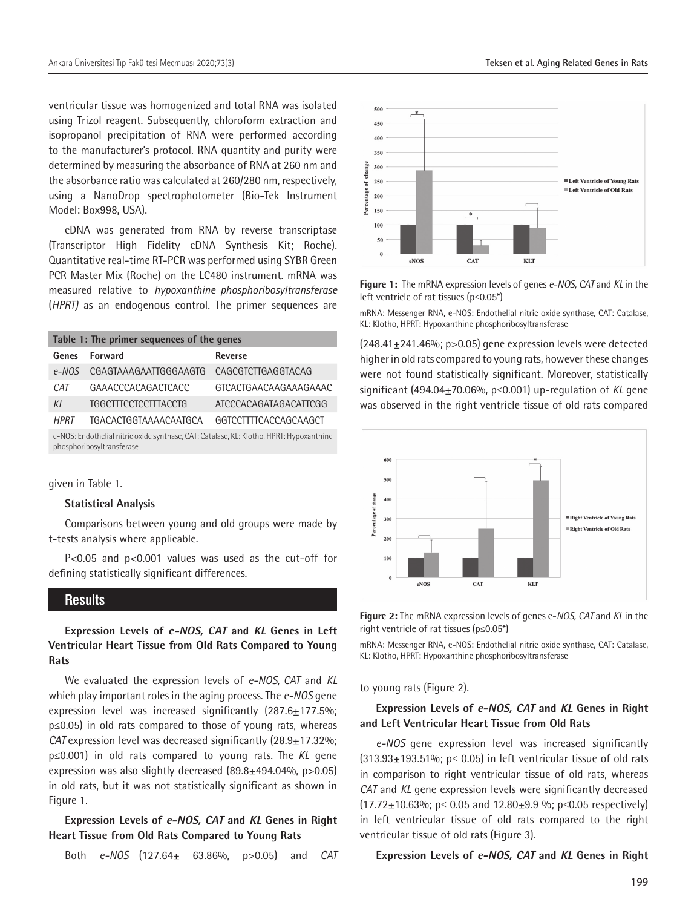ventricular tissue was homogenized and total RNA was isolated using Trizol reagent. Subsequently, chloroform extraction and isopropanol precipitation of RNA were performed according to the manufacturer's protocol. RNA quantity and purity were determined by measuring the absorbance of RNA at 260 nm and the absorbance ratio was calculated at 260/280 nm, respectively, using a NanoDrop spectrophotometer (Bio-Tek Instrument Model: Box998, USA).

cDNA was generated from RNA by reverse transcriptase (Transcriptor High Fidelity cDNA Synthesis Kit; Roche). Quantitative real-time RT-PCR was performed using SYBR Green PCR Master Mix (Roche) on the LC480 instrument. mRNA was measured relative to *hypoxanthine phosphoribosyltransferase* (*HPRT)* as an endogenous control. The primer sequences are

| Table 1: The primer sequences of the genes                                                                           |                             |                       |
|----------------------------------------------------------------------------------------------------------------------|-----------------------------|-----------------------|
| Genes                                                                                                                | <b>Forward</b>              | <b>Reverse</b>        |
| $e$ -NOS                                                                                                             | CGAGTAAAGAATTGGGAAGTG       | CAGCGTCTTGAGGTACAG    |
| <b>CAT</b>                                                                                                           | GAAACCCACAGACTCACC          | GTCACTGAACAAGAAAGAAAC |
| KI                                                                                                                   | <b>TGGCTTTCCTCCTTTACCTG</b> | ATCCCACAGATAGACATTCGG |
| <b>HPRT</b>                                                                                                          | TGACACTGGTAAAACAATGCA       | GGTCCTTTTCACCAGCAAGCT |
| e-NOS: Endothelial nitric oxide synthase, CAT: Catalase, KL: Klotho, HPRT: Hypoxanthine<br>phosphoribosyltransferase |                             |                       |

given in Table 1.

#### **Statistical Analysis**

Comparisons between young and old groups were made by t-tests analysis where applicable.

P<0.05 and p<0.001 values was used as the cut-off for defining statistically significant differences.

## **Results**

**Expression Levels of e-NOS, CAT and KL Genes in Left Ventricular Heart Tissue from Old Rats Compared to Young Rats**

We evaluated the expression levels of *e-NOS, CAT* and *KL* which play important roles in the aging process. The *e-NOS* gene expression level was increased significantly  $(287.6 \pm 177.5\%)$ ; p≤0.05) in old rats compared to those of young rats, whereas *CAT* expression level was decreased significantly (28.9 $\pm$ 17.32%; p≤0.001) in old rats compared to young rats. The *KL* gene expression was also slightly decreased  $(89.8 \pm 494.04\% , p > 0.05)$ in old rats, but it was not statistically significant as shown in Figure 1.

## **Expression Levels of e-NOS, CAT and KL Genes in Right Heart Tissue from Old Rats Compared to Young Rats**

Both *e-NOS* (127.64± 63.86%, p>0.05) and *CAT*



**Figure 1:** The mRNA expression levels of genes *e-NOS, CAT* and *KL* in the left ventricle of rat tissues (p≤0.05\*)

mRNA: Messenger RNA, e-NOS: Endothelial nitric oxide synthase, CAT: Catalase, KL: Klotho, HPRT: Hypoxanthine phosphoribosyltransferase

 $(248.41<sub>±</sub>241.46\%)$ ; p>0.05) gene expression levels were detected higher in old rats compared to young rats, however these changes were not found statistically significant. Moreover, statistically significant (494.04±70.06%, p≤0.001) up-regulation of *KL* gene was observed in the right ventricle tissue of old rats compared



**Figure 2:** The mRNA expression levels of genes e-*NOS, CAT* and *KL* in the right ventricle of rat tissues (p≤0.05\*)

mRNA: Messenger RNA, e-NOS: Endothelial nitric oxide synthase, CAT: Catalase, KL: Klotho, HPRT: Hypoxanthine phosphoribosyltransferase

#### to young rats (Figure 2).

## **Expression Levels of e-NOS, CAT and KL Genes in Right and Left Ventricular Heart Tissue from Old Rats**

*e-NOS* gene expression level was increased significantly  $(313.93\pm193.51\%)$ ; p  $\leq$  0.05) in left ventricular tissue of old rats in comparison to right ventricular tissue of old rats, whereas *CAT* and *KL* gene expression levels were significantly decreased (17.72±10.63%; p≤ 0.05 and 12.80±9.9 %; p≤0.05 respectively) in left ventricular tissue of old rats compared to the right ventricular tissue of old rats (Figure 3).

#### **Expression Levels of e-NOS, CAT and KL Genes in Right**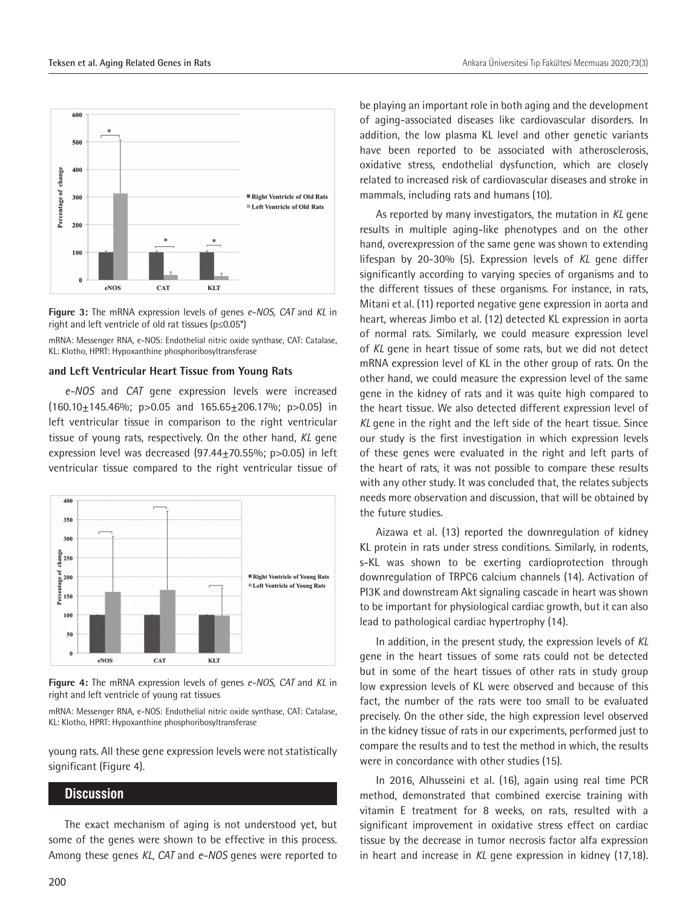

**Figure 3:** The mRNA expression levels of genes *e-NOS, CAT* and *KL* in right and left ventricle of old rat tissues (p≤0.05\*)

mRNA: Messenger RNA, e-NOS: Endothelial nitric oxide synthase, CAT: Catalase, KL: Klotho, HPRT: Hypoxanthine phosphoribosyltransferase

#### **and Left Ventricular Heart Tissue from Young Rats**

*e-NOS* and *CAT* gene expression levels were increased  $(160.10 \pm 145.46\%; p > 0.05$  and  $165.65 \pm 206.17\%; p > 0.05)$  in left ventricular tissue in comparison to the right ventricular tissue of young rats, respectively. On the other hand, *KL* gene expression level was decreased  $(97.44 \pm 70.55\%; p>0.05)$  in left ventricular tissue compared to the right ventricular tissue of



**Figure 4:** The mRNA expression levels of genes *e-NOS, CAT* and *KL* in right and left ventricle of young rat tissues

mRNA: Messenger RNA, e-NOS: Endothelial nitric oxide synthase, CAT: Catalase, KL: Klotho, HPRT: Hypoxanthine phosphoribosyltransferase

young rats. All these gene expression levels were not statistically significant (Figure 4).

## **Discussion**

The exact mechanism of aging is not understood yet, but some of the genes were shown to be effective in this process. Among these genes *KL, CAT* and *e-NOS* genes were reported to

be playing an important role in both aging and the development of aging-associated diseases like cardiovascular disorders. In addition, the low plasma KL level and other genetic variants have been reported to be associated with atherosclerosis, oxidative stress, endothelial dysfunction, which are closely related to increased risk of cardiovascular diseases and stroke in mammals, including rats and humans (10).

As reported by many investigators, the mutation in *KL* gene results in multiple aging-like phenotypes and on the other hand, overexpression of the same gene was shown to extending lifespan by 20-30% (5). Expression levels of *KL* gene differ significantly according to varying species of organisms and to the different tissues of these organisms. For instance, in rats, Mitani et al. (11) reported negative gene expression in aorta and heart, whereas Jimbo et al. (12) detected KL expression in aorta of normal rats. Similarly, we could measure expression level of *KL* gene in heart tissue of some rats, but we did not detect mRNA expression level of KL in the other group of rats. On the other hand, we could measure the expression level of the same gene in the kidney of rats and it was quite high compared to the heart tissue. We also detected different expression level of *KL* gene in the right and the left side of the heart tissue. Since our study is the first investigation in which expression levels of these genes were evaluated in the right and left parts of the heart of rats, it was not possible to compare these results with any other study. It was concluded that, the relates subjects needs more observation and discussion, that will be obtained by the future studies.

Aizawa et al. (13) reported the downregulation of kidney KL protein in rats under stress conditions. Similarly, in rodents, s-KL was shown to be exerting cardioprotection through downregulation of TRPC6 calcium channels (14). Activation of PI3K and downstream Akt signaling cascade in heart was shown to be important for physiological cardiac growth, but it can also lead to pathological cardiac hypertrophy (14).

In addition, in the present study, the expression levels of *KL* gene in the heart tissues of some rats could not be detected but in some of the heart tissues of other rats in study group low expression levels of KL were observed and because of this fact, the number of the rats were too small to be evaluated precisely. On the other side, the high expression level observed in the kidney tissue of rats in our experiments, performed just to compare the results and to test the method in which, the results were in concordance with other studies (15).

In 2016, Alhusseini et al. (16), again using real time PCR method, demonstrated that combined exercise training with vitamin E treatment for 8 weeks, on rats, resulted with a significant improvement in oxidative stress effect on cardiac tissue by the decrease in tumor necrosis factor alfa expression in heart and increase in *KL* gene expression in kidney (17,18).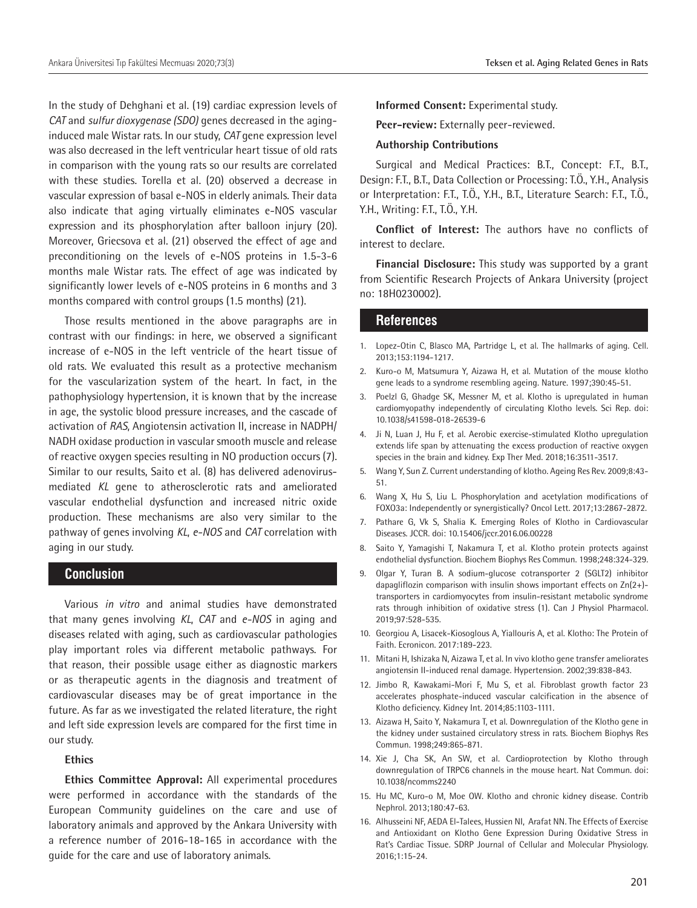In the study of Dehghani et al. (19) cardiac expression levels of *CAT* and *sulfur dioxygenase (SDO)* genes decreased in the aginginduced male Wistar rats. In our study, *CAT* gene expression level was also decreased in the left ventricular heart tissue of old rats in comparison with the young rats so our results are correlated with these studies. Torella et al. (20) observed a decrease in vascular expression of basal e-NOS in elderly animals. Their data also indicate that aging virtually eliminates e-NOS vascular expression and its phosphorylation after balloon injury (20). Moreover, Griecsova et al. (21) observed the effect of age and preconditioning on the levels of e-NOS proteins in 1.5-3-6 months male Wistar rats. The effect of age was indicated by significantly lower levels of e-NOS proteins in 6 months and 3 months compared with control groups (1.5 months) (21).

Those results mentioned in the above paragraphs are in contrast with our findings: in here, we observed a significant increase of e-NOS in the left ventricle of the heart tissue of old rats. We evaluated this result as a protective mechanism for the vascularization system of the heart. In fact, in the pathophysiology hypertension, it is known that by the increase in age, the systolic blood pressure increases, and the cascade of activation of *RAS*, Angiotensin activation II, increase in NADPH/ NADH oxidase production in vascular smooth muscle and release of reactive oxygen species resulting in NO production occurs (7). Similar to our results, Saito et al. (8) has delivered adenovirusmediated *KL* gene to atherosclerotic rats and ameliorated vascular endothelial dysfunction and increased nitric oxide production. These mechanisms are also very similar to the pathway of genes involving *KL*, *e-NOS* and *CAT* correlation with aging in our study.

## **Conclusion**

Various *in vitro* and animal studies have demonstrated that many genes involving *KL*, *CAT* and *e-NOS* in aging and diseases related with aging, such as cardiovascular pathologies play important roles via different metabolic pathways. For that reason, their possible usage either as diagnostic markers or as therapeutic agents in the diagnosis and treatment of cardiovascular diseases may be of great importance in the future. As far as we investigated the related literature, the right and left side expression levels are compared for the first time in our study.

## **Ethics**

**Ethics Committee Approval:** All experimental procedures were performed in accordance with the standards of the European Community guidelines on the care and use of laboratory animals and approved by the Ankara University with a reference number of 2016-18-165 in accordance with the guide for the care and use of laboratory animals.

**Informed Consent:** Experimental study.

**Peer-review:** Externally peer-reviewed.

#### **Authorship Contributions**

Surgical and Medical Practices: B.T., Concept: F.T., B.T., Design: F.T., B.T., Data Collection or Processing: T.Ö., Y.H., Analysis or Interpretation: F.T., T.Ö., Y.H., B.T., Literature Search: F.T., T.Ö., Y.H., Writing: F.T., T.Ö., Y.H.

**Conflict of Interest:** The authors have no conflicts of interest to declare.

**Financial Disclosure:** This study was supported by a grant from Scientific Research Projects of Ankara University (project no: 18H0230002).

#### **References**

- 1. Lopez-Otin C, Blasco MA, Partridge L, et al. The hallmarks of aging. Cell. 2013;153:1194-1217.
- 2. Kuro-o M, Matsumura Y, Aizawa H, et al. Mutation of the mouse klotho gene leads to a syndrome resembling ageing. Nature. 1997;390:45-51.
- 3. Poelzl G, Ghadge SK, Messner M, et al. Klotho is upregulated in human cardiomyopathy independently of circulating Klotho levels. Sci Rep. doi: 10.1038/s41598-018-26539-6
- 4. Ji N, Luan J, Hu F, et al. Aerobic exercise-stimulated Klotho upregulation extends life span by attenuating the excess production of reactive oxygen species in the brain and kidney. Exp Ther Med. 2018;16:3511-3517.
- 5. Wang Y, Sun Z. Current understanding of klotho. Ageing Res Rev. 2009;8:43- 51.
- 6. Wang X, Hu S, Liu L. Phosphorylation and acetylation modifications of FOXO3a: Independently or synergistically? Oncol Lett. 2017;13:2867-2872.
- 7. Pathare G, Vk S, Shalia K. Emerging Roles of Klotho in Cardiovascular Diseases. JCCR. doi: 10.15406/jccr.2016.06.00228
- 8. Saito Y, Yamagishi T, Nakamura T, et al. Klotho protein protects against endothelial dysfunction. Biochem Biophys Res Commun. 1998;248:324-329.
- 9. Olgar Y, Turan B. A sodium-glucose cotransporter 2 (SGLT2) inhibitor dapagliflozin comparison with insulin shows important effects on Zn(2+) transporters in cardiomyocytes from insulin-resistant metabolic syndrome rats through inhibition of oxidative stress (1). Can J Physiol Pharmacol. 2019;97:528-535.
- 10. Georgiou A, Lisacek-Kiosoglous A, Yiallouris A, et al. Klotho: The Protein of Faith. Ecronicon. 2017:189-223.
- 11. Mitani H, Ishizaka N, Aizawa T, et al. In vivo klotho gene transfer ameliorates angiotensin II-induced renal damage. Hypertension. 2002;39:838-843.
- 12. Jimbo R, Kawakami-Mori F, Mu S, et al. Fibroblast growth factor 23 accelerates phosphate-induced vascular calcification in the absence of Klotho deficiency. Kidney Int. 2014;85:1103-1111.
- 13. Aizawa H, Saito Y, Nakamura T, et al. Downregulation of the Klotho gene in the kidney under sustained circulatory stress in rats. Biochem Biophys Res Commun. 1998;249:865-871.
- 14. Xie J, Cha SK, An SW, et al. Cardioprotection by Klotho through downregulation of TRPC6 channels in the mouse heart. Nat Commun. doi: 10.1038/ncomms2240
- 15. Hu MC, Kuro-o M, Moe OW. Klotho and chronic kidney disease. Contrib Nephrol. 2013;180:47-63.
- 16. Alhusseini NF, AEDA El-Talees, Hussien NI, Arafat NN. The Effects of Exercise and Antioxidant on Klotho Gene Expression During Oxidative Stress in Rat's Cardiac Tissue. SDRP Journal of Cellular and Molecular Physiology. 2016;1:15-24.